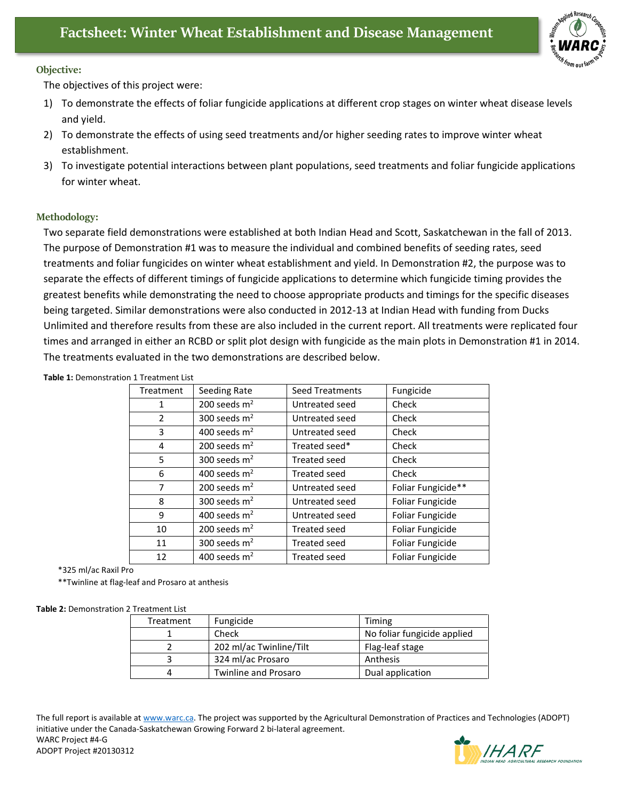

## **Objective:**

The objectives of this project were:

- 1) To demonstrate the effects of foliar fungicide applications at different crop stages on winter wheat disease levels and yield.
- 2) To demonstrate the effects of using seed treatments and/or higher seeding rates to improve winter wheat establishment.
- 3) To investigate potential interactions between plant populations, seed treatments and foliar fungicide applications for winter wheat.

## **Methodology:**

Two separate field demonstrations were established at both Indian Head and Scott, Saskatchewan in the fall of 2013. The purpose of Demonstration #1 was to measure the individual and combined benefits of seeding rates, seed treatments and foliar fungicides on winter wheat establishment and yield. In Demonstration #2, the purpose was to separate the effects of different timings of fungicide applications to determine which fungicide timing provides the greatest benefits while demonstrating the need to choose appropriate products and timings for the specific diseases being targeted. Similar demonstrations were also conducted in 2012-13 at Indian Head with funding from Ducks Unlimited and therefore results from these are also included in the current report. All treatments were replicated four times and arranged in either an RCBD or split plot design with fungicide as the main plots in Demonstration #1 in 2014. The treatments evaluated in the two demonstrations are described below.

| Treatment | Seeding Rate<br><b>Seed Treatments</b> |                                    | Fungicide          |  |
|-----------|----------------------------------------|------------------------------------|--------------------|--|
| 1         | 200 seeds $m2$                         | Untreated seed                     | Check              |  |
| 2         | 300 seeds $m2$                         | Untreated seed                     | Check              |  |
| 3         | 400 seeds $m2$                         | Untreated seed                     | Check              |  |
| 4         | 200 seeds $m2$                         | Treated seed*                      | Check              |  |
| 5         | 300 seeds $m2$                         | <b>Treated seed</b>                | Check              |  |
| 6         | 400 seeds $m2$                         | <b>Treated seed</b>                | Check              |  |
| 7         | 200 seeds $m2$                         | Untreated seed                     | Foliar Fungicide** |  |
| 8         | 300 seeds $m2$<br>Untreated seed       |                                    | Foliar Fungicide   |  |
| 9         | 400 seeds $m2$                         | Untreated seed<br>Foliar Fungicide |                    |  |
| 10        | 200 seeds $m2$                         | Treated seed                       | Foliar Fungicide   |  |
| 11        | 300 seeds $m2$                         | <b>Treated seed</b>                | Foliar Fungicide   |  |
| 12        | 400 seeds $m2$                         | <b>Treated seed</b>                | Foliar Fungicide   |  |

**Table 1:** Demonstration 1 Treatment List

\*325 ml/ac Raxil Pro

\*\*Twinline at flag-leaf and Prosaro at anthesis

## **Table 2:** Demonstration 2 Treatment List

|   | Treatment | Fungicide                   | Timing                      |  |  |  |  |
|---|-----------|-----------------------------|-----------------------------|--|--|--|--|
|   |           | Check                       | No foliar fungicide applied |  |  |  |  |
|   |           | 202 ml/ac Twinline/Tilt     | Flag-leaf stage             |  |  |  |  |
|   |           | 324 ml/ac Prosaro           | Anthesis                    |  |  |  |  |
| 4 |           | <b>Twinline and Prosaro</b> | Dual application            |  |  |  |  |

The full report is available at [www.warc.ca.](http://www.warc.ca/) The project was supported by the Agricultural Demonstration of Practices and Technologies (ADOPT) initiative under the Canada-Saskatchewan Growing Forward 2 bi-lateral agreement. WARC Project #4-G